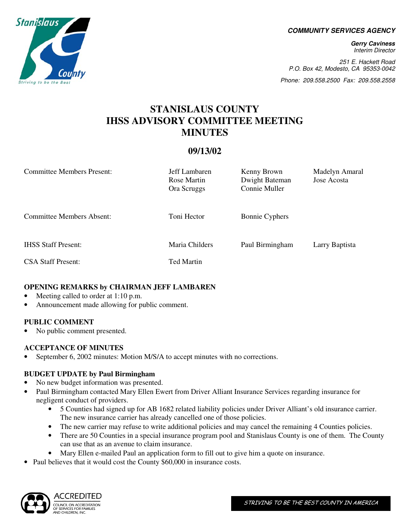**COMMUNITY SERVICES AGENCY** 

**Gerry Caviness**  Interim Director

251 E. Hackett Road P.O. Box 42, Modesto, CA 95353-0042

Phone: 209.558.2500 Fax: 209.558.2558

# **STANISLAUS COUNTY IHSS ADVISORY COMMITTEE MEETING MINUTES**

# **09/13/02**

| <b>Committee Members Present:</b> | Jeff Lambaren<br>Rose Martin<br>Ora Scruggs | Kenny Brown<br>Dwight Bateman<br>Connie Muller | Madelyn Amaral<br>Jose Acosta |
|-----------------------------------|---------------------------------------------|------------------------------------------------|-------------------------------|
| <b>Committee Members Absent:</b>  | Toni Hector                                 | <b>Bonnie Cyphers</b>                          |                               |
| <b>IHSS Staff Present:</b>        | Maria Childers                              | Paul Birmingham                                | Larry Baptista                |
| <b>CSA Staff Present:</b>         | Ted Martin                                  |                                                |                               |

# **OPENING REMARKS by CHAIRMAN JEFF LAMBAREN**

- Meeting called to order at 1:10 p.m.
- Announcement made allowing for public comment.

## **PUBLIC COMMENT**

• No public comment presented.

## **ACCEPTANCE OF MINUTES**

• September 6, 2002 minutes: Motion M/S/A to accept minutes with no corrections.

# **BUDGET UPDATE by Paul Birmingham**

- No new budget information was presented.
- Paul Birmingham contacted Mary Ellen Ewert from Driver Alliant Insurance Services regarding insurance for negligent conduct of providers.
	- 5 Counties had signed up for AB 1682 related liability policies under Driver Alliant's old insurance carrier. The new insurance carrier has already cancelled one of those policies.
	- The new carrier may refuse to write additional policies and may cancel the remaining 4 Counties policies.
	- There are 50 Counties in a special insurance program pool and Stanislaus County is one of them. The County can use that as an avenue to claim insurance.
	- Mary Ellen e-mailed Paul an application form to fill out to give him a quote on insurance.
- Paul believes that it would cost the County \$60,000 in insurance costs.



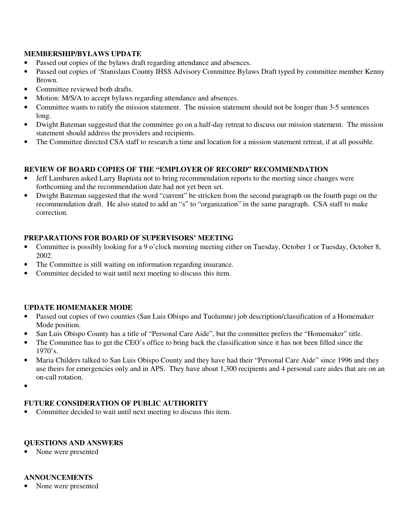## **MEMBERSHIP/BYLAWS UPDATE**

- Passed out copies of the bylaws draft regarding attendance and absences.
- Passed out copies of 'Stanislaus County IHSS Advisory Committee Bylaws Draft typed by committee member Kenny Brown.
- Committee reviewed both drafts.
- Motion: M/S/A to accept bylaws regarding attendance and absences.
- Committee wants to ratify the mission statement. The mission statement should not be longer than 3-5 sentences long.
- Dwight Bateman suggested that the committee go on a half-day retreat to discuss our mission statement. The mission statement should address the providers and recipients.
- The Committee directed CSA staff to research a time and location for a mission statement retreat, if at all possible.

# **REVIEW OF BOARD COPIES OF THE "EMPLOYER OF RECORD" RECOMMENDATION**

- Jeff Lambaren asked Larry Baptista not to bring recommendation reports to the meeting since changes were forthcoming and the recommendation date had not yet been set.
- Dwight Bateman suggested that the word "current" be stricken from the second paragraph on the fourth page on the recommendation draft. He also stated to add an "s" to "organization" in the same paragraph. CSA staff to make correction.

# **PREPARATIONS FOR BOARD OF SUPERVISORS' MEETING**

- Committee is possibly looking for a 9 o'clock morning meeting either on Tuesday, October 1 or Tuesday, October 8, 2002.
- The Committee is still waiting on information regarding insurance.
- Committee decided to wait until next meeting to discuss this item.

## **UPDATE HOMEMAKER MODE**

- Passed out copies of two counties (San Luis Obispo and Tuolumne) job description/classification of a Homemaker Mode position.
- San Luis Obispo County has a title of "Personal Care Aide", but the committee prefers the "Homemaker" title.
- The Committee has to get the CEO's office to bring back the classification since it has not been filled since the  $1970's.$
- Maria Childers talked to San Luis Obispo County and they have had their "Personal Care Aide" since 1996 and they use theirs for emergencies only and in APS. They have about 1,300 recipients and 4 personal care aides that are on an on-call rotation.
- •

# **FUTURE CONSIDERATION OF PUBLIC AUTHORITY**

• Committee decided to wait until next meeting to discuss this item.

## **QUESTIONS AND ANSWERS**

• None were presented

### **ANNOUNCEMENTS**

• None were presented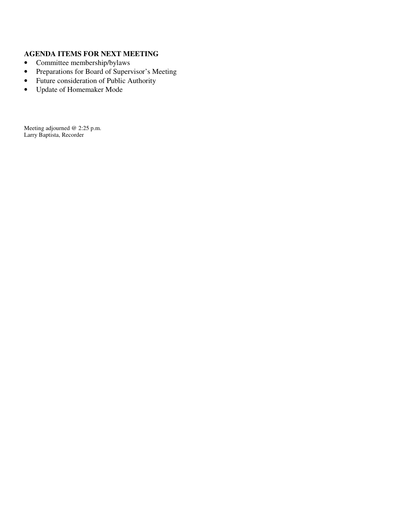## **AGENDA ITEMS FOR NEXT MEETING**

- Committee membership/bylaws
- Preparations for Board of Supervisor's Meeting
- Future consideration of Public Authority
- Update of Homemaker Mode

Meeting adjourned @ 2:25 p.m. Larry Baptista, Recorder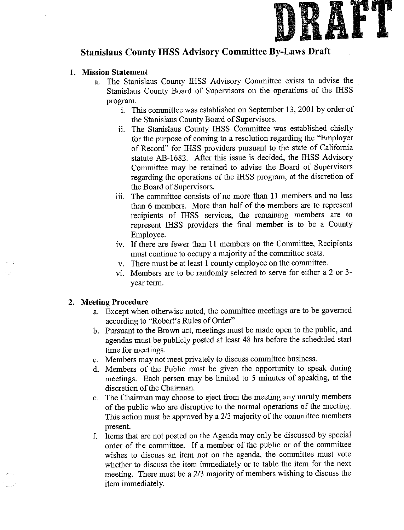

# **Stanislaus County IHSS Advisory Committee By-Laws Draft**

### 1. Mission Statement

- a. The Stanislaus County IHSS Advisory Committee exists to advise the Stanislaus County Board of Supervisors on the operations of the IHSS program.
	- i. This committee was established on September 13, 2001 by order of the Stanislaus County Board of Supervisors.
	- ii. The Stanislaus County IHSS Committee was established chiefly for the purpose of coming to a resolution regarding the "Employer of Record" for IHSS providers pursuant to the state of California statute AB-1682. After this issue is decided, the IHSS Advisory Committee may be retained to advise the Board of Supervisors regarding the operations of the IHSS program, at the discretion of the Board of Supervisors.
	- iii. The committee consists of no more than 11 members and no less than 6 members. More than half of the members are to represent recipients of IHSS services, the remaining members are to represent IHSS providers the final member is to be a County Employee.
	- iv. If there are fewer than 11 members on the Committee, Recipients must continue to occupy a majority of the committee seats.
	- v. There must be at least 1 county employee on the committee.
	- vi. Members are to be randomly selected to serve for either a 2 or 3year term.

#### 2. Meeting Procedure

- a. Except when otherwise noted, the committee meetings are to be governed according to "Robert's Rules of Order"
- b. Pursuant to the Brown act, meetings must be made open to the public, and agendas must be publicly posted at least 48 hrs before the scheduled start time for meetings.
- c. Members may not meet privately to discuss committee business.
- d. Members of the Public must be given the opportunity to speak during meetings. Each person may be limited to 5 minutes of speaking, at the discretion of the Chairman.
- e. The Chairman may choose to eject from the meeting any unruly members of the public who are disruptive to the normal operations of the meeting. This action must be approved by a 2/3 majority of the committee members present.
- f. Items that are not posted on the Agenda may only be discussed by special order of the committee. If a member of the public or of the committee wishes to discuss an item not on the agenda, the committee must vote whether to discuss the item immediately or to table the item for the next meeting. There must be a 2/3 majority of members wishing to discuss the item immediately.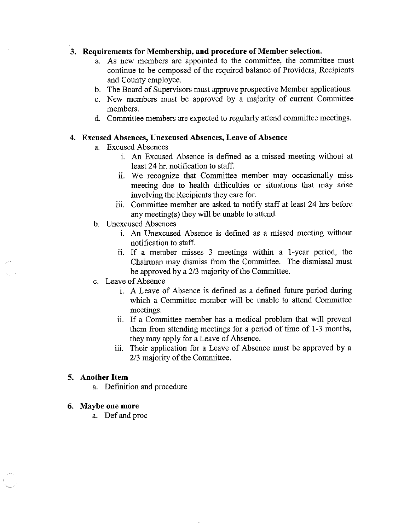### 3. Requirements for Membership, and procedure of Member selection.

- a. As new members are appointed to the committee, the committee must continue to be composed of the required balance of Providers. Recipients and County employee.
- b. The Board of Supervisors must approve prospective Member applications.
- c. New members must be approved by a majority of current Committee members.
- d. Committee members are expected to regularly attend committee meetings.

#### 4. Excused Absences, Unexcused Absences, Leave of Absence

- a. Excused Absences
	- i. An Excused Absence is defined as a missed meeting without at least 24 hr. notification to staff.
	- ii. We recognize that Committee member may occasionally miss meeting due to health difficulties or situations that may arise involving the Recipients they care for.
	- iii. Committee member are asked to notify staff at least 24 hrs before any meeting(s) they will be unable to attend.
- b. Unexcused Absences
	- i. An Unexcused Absence is defined as a missed meeting without notification to staff.
	- ii. If a member misses 3 meetings within a 1-year period, the Chairman may dismiss from the Committee. The dismissal must be approved by a 2/3 majority of the Committee.
- c. Leave of Absence
	- i. A Leave of Absence is defined as a defined future period during which a Committee member will be unable to attend Committee meetings.
	- ii. If a Committee member has a medical problem that will prevent them from attending meetings for a period of time of 1-3 months, they may apply for a Leave of Absence.
	- iii. Their application for a Leave of Absence must be approved by a 2/3 majority of the Committee.

### 5. Another Item

a. Definition and procedure

#### 6. Maybe one more

a. Def and proc